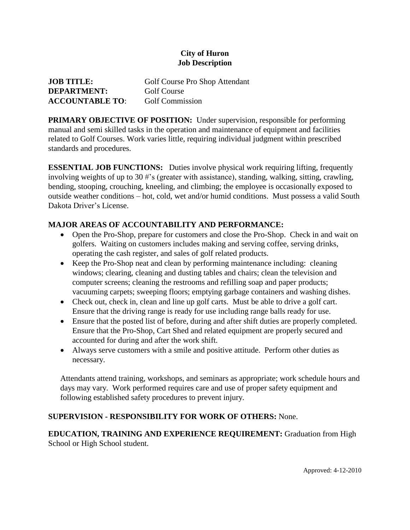## **City of Huron Job Description**

| <b>JOB TITLE:</b>      | Golf Course Pro Shop Attendant |
|------------------------|--------------------------------|
| <b>DEPARTMENT:</b>     | Golf Course                    |
| <b>ACCOUNTABLE TO:</b> | <b>Golf Commission</b>         |

**PRIMARY OBJECTIVE OF POSITION:** Under supervision, responsible for performing manual and semi skilled tasks in the operation and maintenance of equipment and facilities related to Golf Courses. Work varies little, requiring individual judgment within prescribed standards and procedures.

**ESSENTIAL JOB FUNCTIONS:** Duties involve physical work requiring lifting, frequently involving weights of up to 30 #'s (greater with assistance), standing, walking, sitting, crawling, bending, stooping, crouching, kneeling, and climbing; the employee is occasionally exposed to outside weather conditions – hot, cold, wet and/or humid conditions. Must possess a valid South Dakota Driver's License.

## **MAJOR AREAS OF ACCOUNTABILITY AND PERFORMANCE:**

- Open the Pro-Shop, prepare for customers and close the Pro-Shop. Check in and wait on golfers. Waiting on customers includes making and serving coffee, serving drinks, operating the cash register, and sales of golf related products.
- Keep the Pro-Shop neat and clean by performing maintenance including: cleaning windows; clearing, cleaning and dusting tables and chairs; clean the television and computer screens; cleaning the restrooms and refilling soap and paper products; vacuuming carpets; sweeping floors; emptying garbage containers and washing dishes.
- Check out, check in, clean and line up golf carts. Must be able to drive a golf cart. Ensure that the driving range is ready for use including range balls ready for use.
- Ensure that the posted list of before, during and after shift duties are properly completed. Ensure that the Pro-Shop, Cart Shed and related equipment are properly secured and accounted for during and after the work shift.
- Always serve customers with a smile and positive attitude. Perform other duties as necessary.

Attendants attend training, workshops, and seminars as appropriate; work schedule hours and days may vary. Work performed requires care and use of proper safety equipment and following established safety procedures to prevent injury.

## **SUPERVISION - RESPONSIBILITY FOR WORK OF OTHERS:** None.

**EDUCATION, TRAINING AND EXPERIENCE REQUIREMENT:** Graduation from High School or High School student.